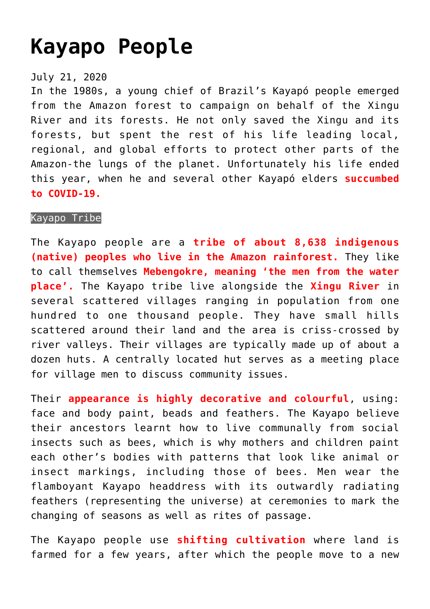## **[Kayapo People](https://journalsofindia.com/kayapo-people/)**

## July 21, 2020

In the 1980s, a young chief of Brazil's Kayapó people emerged from the Amazon forest to campaign on behalf of the Xingu River and its forests. He not only saved the Xingu and its forests, but spent the rest of his life leading local, regional, and global efforts to protect other parts of the Amazon-the lungs of the planet. Unfortunately his life ended this year, when he and several other Kayapó elders **succumbed to COVID-19.**

## Kayapo Tribe

The Kayapo people are a **tribe of about 8,638 indigenous (native) peoples who live in the Amazon rainforest.** They like to call themselves **Mebengokre, meaning 'the men from the water place'.** The Kayapo tribe live alongside the **Xingu River** in several scattered villages ranging in population from one hundred to one thousand people. They have small hills scattered around their land and the area is criss-crossed by river valleys. Their villages are typically made up of about a dozen huts. A centrally located hut serves as a meeting place for village men to discuss community issues.

Their **appearance is highly decorative and colourful**, using: face and body paint, beads and feathers. The Kayapo believe their ancestors learnt how to live communally from social insects such as bees, which is why mothers and children paint each other's bodies with patterns that look like animal or insect markings, including those of bees. Men wear the flamboyant Kayapo headdress with its outwardly radiating feathers (representing the universe) at ceremonies to mark the changing of seasons as well as rites of passage.

The Kayapo people use **shifting cultivation** where land is farmed for a few years, after which the people move to a new